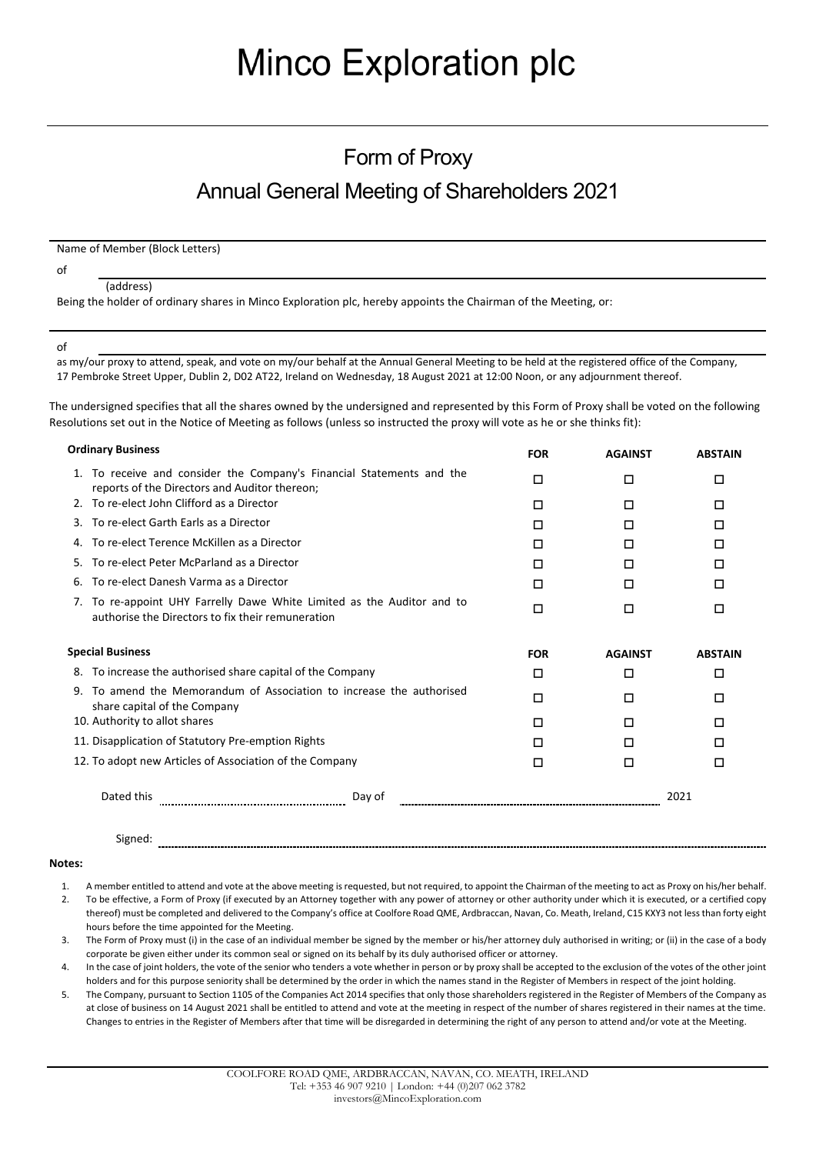# **Minco Exploration plc**

## Form of Proxy Annual General Meeting of Shareholders 2021

Name of Member (Block Letters)

of

#### (address)

Being the holder of ordinary shares in Minco Exploration plc, hereby appoints the Chairman of the Meeting, or:

of

as my/our proxy to attend, speak, and vote on my/our behalf at the Annual General Meeting to be held at the registered office of the Company, 17 Pembroke Street Upper, Dublin 2, D02 AT22, Ireland on Wednesday, 18 August 2021 at 12:00 Noon, or any adjournment thereof.

The undersigned specifies that all the shares owned by the undersigned and represented by this Form of Proxy shall be voted on the following Resolutions set out in the Notice of Meeting as follows (unless so instructed the proxy will vote as he or she thinks fit):

| <b>Ordinary Business</b>                                                                                                    | <b>FOR</b> | <b>AGAINST</b> | <b>ABSTAIN</b> |
|-----------------------------------------------------------------------------------------------------------------------------|------------|----------------|----------------|
| To receive and consider the Company's Financial Statements and the<br>1.<br>reports of the Directors and Auditor thereon;   | □          | □              | П              |
| 2. To re-elect John Clifford as a Director                                                                                  | □          | □              | □              |
| To re-elect Garth Earls as a Director<br>З.                                                                                 | □          | □              | □              |
| To re-elect Terence McKillen as a Director<br>4.                                                                            | □          | П              | П              |
| To re-elect Peter McParland as a Director<br>5.                                                                             | □          | □              | П              |
| To re-elect Danesh Varma as a Director<br>6.                                                                                | □          | □              | □              |
| 7. To re-appoint UHY Farrelly Dawe White Limited as the Auditor and to<br>authorise the Directors to fix their remuneration | □          | □              | □              |
| <b>Special Business</b>                                                                                                     | <b>FOR</b> | <b>AGAINST</b> | <b>ABSTAIN</b> |
| To increase the authorised share capital of the Company<br>8.                                                               | □          | □              | □              |
| To amend the Memorandum of Association to increase the authorised<br>9.<br>share capital of the Company                     | □          | П              | п              |
| 10. Authority to allot shares                                                                                               | П          | П              | П              |
| 11. Disapplication of Statutory Pre-emption Rights                                                                          | п          | п              | п              |
| 12. To adopt new Articles of Association of the Company                                                                     | П          | □              | п              |
| Dated this<br>Day of                                                                                                        |            |                | 2021           |

Signed:

#### **Notes:**

- 1. A member entitled to attend and vote at the above meeting is requested, but not required, to appoint the Chairman of the meeting to act as Proxy on his/her behalf.
- 2. To be effective, a Form of Proxy (if executed by an Attorney together with any power of attorney or other authority under which it is executed, or a certified copy thereof) must be completed and delivered to the Company's office at Coolfore Road QME, Ardbraccan, Navan, Co. Meath, Ireland, C15 KXY3 not less than forty eight hours before the time appointed for the Meeting.
- 3. The Form of Proxy must (i) in the case of an individual member be signed by the member or his/her attorney duly authorised in writing; or (ii) in the case of a body corporate be given either under its common seal or signed on its behalf by its duly authorised officer or attorney.
- 4. In the case of joint holders, the vote of the senior who tenders a vote whether in person or by proxy shall be accepted to the exclusion of the votes of the other joint holders and for this purpose seniority shall be determined by the order in which the names stand in the Register of Members in respect of the joint holding.
- 5. The Company, pursuant to Section 1105 of the Companies Act 2014 specifies that only those shareholders registered in the Register of Members of the Company as at close of business on 14 August 2021 shall be entitled to attend and vote at the meeting in respect of the number of shares registered in their names at the time. Changes to entries in the Register of Members after that time will be disregarded in determining the right of any person to attend and/or vote at the Meeting.